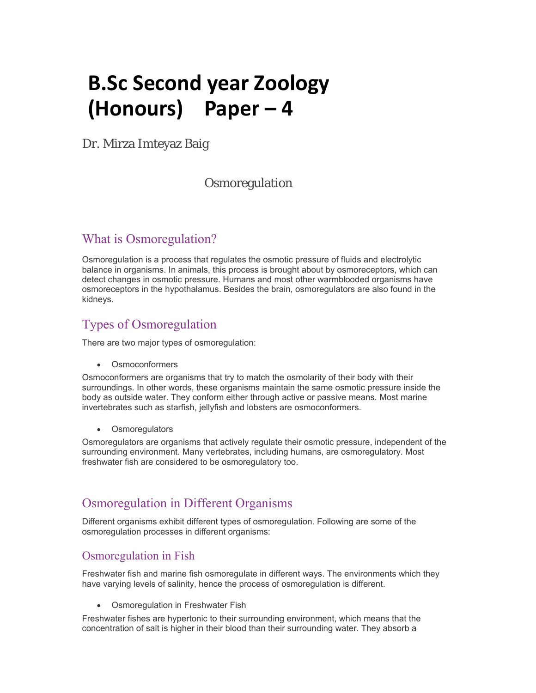# **B.Sc Second year Zoology (Honours) Paper – 4**

Dr. Mirza Imteyaz Baig

#### **Osmoregulation**

# What is Osmoregulation?

Osmoregulation is a process that regulates the osmotic pressure of fluids and electrolytic balance in organisms. In animals, this process is brought about by osmoreceptors, which can detect changes in osmotic pressure. Humans and most other warmblooded organisms have osmoreceptors in the hypothalamus. Besides the brain, osmoregulators are also found in the kidneys.

# Types of Osmoregulation

There are two major types of osmoregulation:

Osmoconformers

Osmoconformers are organisms that try to match the osmolarity of their body with their surroundings. In other words, these organisms maintain the same osmotic pressure inside the body as outside water. They conform either through active or passive means. Most marine invertebrates such as starfish, jellyfish and lobsters are osmoconformers.

Osmoregulators

Osmoregulators are organisms that actively regulate their osmotic pressure, independent of the surrounding environment. Many vertebrates, including humans, are osmoregulatory. Most freshwater fish are considered to be osmoregulatory too.

### Osmoregulation in Different Organisms

Different organisms exhibit different types of osmoregulation. Following are some of the osmoregulation processes in different organisms:

#### Osmoregulation in Fish

Freshwater fish and marine fish osmoregulate in different ways. The environments which they have varying levels of salinity, hence the process of osmoregulation is different.

Osmoregulation in Freshwater Fish

Freshwater fishes are hypertonic to their surrounding environment, which means that the concentration of salt is higher in their blood than their surrounding water. They absorb a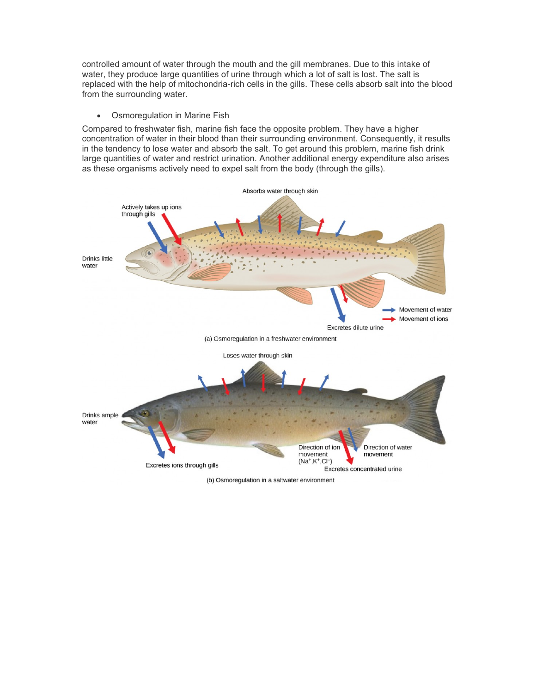controlled amount of water through the mouth and the gill membranes. Due to this intake of water, they produce large quantities of urine through which a lot of salt is lost. The salt is replaced with the help of mitochondria-rich cells in the gills. These cells absorb salt into the blood from the surrounding water.

#### Osmoregulation in Marine Fish

Compared to freshwater fish, marine fish face the opposite problem. They have a higher concentration of water in their blood than their surrounding environment. Consequently, it results in the tendency to lose water and absorb the salt. To get around this problem, marine fish drink large quantities of water and restrict urination. Another additional energy expenditure also arises as these organisms actively need to expel salt from the body (through the gills).



(b) Osmoregulation in a saltwater environment